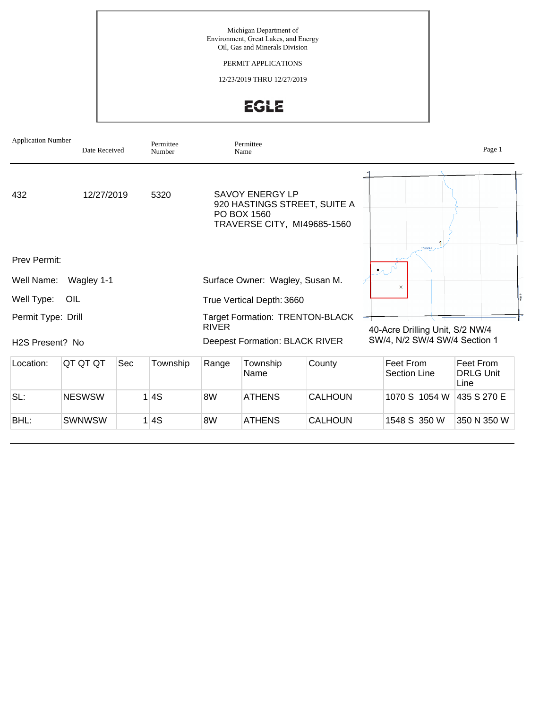Michigan Department of Environment, Great Lakes, and Energy Oil, Gas and Minerals Division

PERMIT APPLICATIONS

12/23/2019 THRU 12/27/2019

EGLE

| <b>Application Number</b><br>Date Received |               |     | Permittee<br>Number                   | Permittee<br>Name                                                                                    |                  |                               |                                  | Page 1                                |  |
|--------------------------------------------|---------------|-----|---------------------------------------|------------------------------------------------------------------------------------------------------|------------------|-------------------------------|----------------------------------|---------------------------------------|--|
| 432<br>12/27/2019<br>5320                  |               |     |                                       | <b>SAVOY ENERGY LP</b><br>920 HASTINGS STREET, SUITE A<br>PO BOX 1560<br>TRAVERSE CITY, MI49685-1560 |                  |                               |                                  |                                       |  |
| Prev Permit:                               |               |     |                                       |                                                                                                      |                  |                               | Pine Creek<br>$\mathcal{P}$      |                                       |  |
| Wagley 1-1<br>Well Name:                   |               |     |                                       | Surface Owner: Wagley, Susan M.                                                                      |                  |                               | $\times$                         |                                       |  |
| Well Type:<br>OIL                          |               |     |                                       | True Vertical Depth: 3660                                                                            |                  |                               |                                  |                                       |  |
| Permit Type: Drill                         |               |     |                                       | <b>Target Formation: TRENTON-BLACK</b><br><b>RIVER</b>                                               |                  |                               | 40-Acre Drilling Unit, S/2 NW/4  |                                       |  |
| H <sub>2</sub> S Present? No               |               |     | <b>Deepest Formation: BLACK RIVER</b> |                                                                                                      |                  | SW/4, N/2 SW/4 SW/4 Section 1 |                                  |                                       |  |
| Location:                                  | QT QT QT      | Sec | Township                              | Range                                                                                                | Township<br>Name | County                        | Feet From<br><b>Section Line</b> | Feet From<br><b>DRLG Unit</b><br>Line |  |
| SL:                                        | <b>NESWSW</b> | 1   | 4S                                    | 8W                                                                                                   | <b>ATHENS</b>    | CALHOUN                       | 1070 S 1054 W                    | 435 S 270 E                           |  |
| BHL:                                       | <b>SWNWSW</b> | 1   | 4S                                    | 8W                                                                                                   | <b>ATHENS</b>    | CALHOUN                       | 1548 S 350 W                     | 350 N 350 W                           |  |